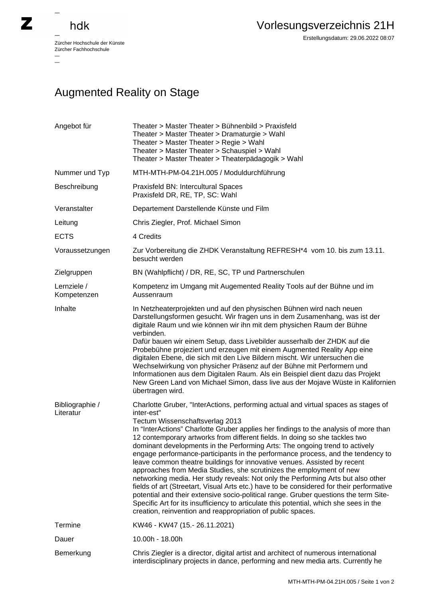## hdk

—

 $\overline{\phantom{a}}$ 

Zürcher Hochschule der Künste Zürcher Fachhochschule —

Erstellungsdatum: 29.06.2022 08:07

## Augmented Reality on Stage

| Angebot für                  | Theater > Master Theater > Bühnenbild > Praxisfeld<br>Theater > Master Theater > Dramaturgie > Wahl<br>Theater > Master Theater > Regie > Wahl<br>Theater > Master Theater > Schauspiel > Wahl<br>Theater > Master Theater > Theaterpädagogik > Wahl                                                                                                                                                                                                                                                                                                                                                                                                                                                                                                                                                                                                                                                                                                                                                                                                              |
|------------------------------|-------------------------------------------------------------------------------------------------------------------------------------------------------------------------------------------------------------------------------------------------------------------------------------------------------------------------------------------------------------------------------------------------------------------------------------------------------------------------------------------------------------------------------------------------------------------------------------------------------------------------------------------------------------------------------------------------------------------------------------------------------------------------------------------------------------------------------------------------------------------------------------------------------------------------------------------------------------------------------------------------------------------------------------------------------------------|
| Nummer und Typ               | MTH-MTH-PM-04.21H.005 / Moduldurchführung                                                                                                                                                                                                                                                                                                                                                                                                                                                                                                                                                                                                                                                                                                                                                                                                                                                                                                                                                                                                                         |
| Beschreibung                 | Praxisfeld BN: Intercultural Spaces<br>Praxisfeld DR, RE, TP, SC: Wahl                                                                                                                                                                                                                                                                                                                                                                                                                                                                                                                                                                                                                                                                                                                                                                                                                                                                                                                                                                                            |
| Veranstalter                 | Departement Darstellende Künste und Film                                                                                                                                                                                                                                                                                                                                                                                                                                                                                                                                                                                                                                                                                                                                                                                                                                                                                                                                                                                                                          |
| Leitung                      | Chris Ziegler, Prof. Michael Simon                                                                                                                                                                                                                                                                                                                                                                                                                                                                                                                                                                                                                                                                                                                                                                                                                                                                                                                                                                                                                                |
| <b>ECTS</b>                  | 4 Credits                                                                                                                                                                                                                                                                                                                                                                                                                                                                                                                                                                                                                                                                                                                                                                                                                                                                                                                                                                                                                                                         |
| Voraussetzungen              | Zur Vorbereitung die ZHDK Veranstaltung REFRESH*4 vom 10. bis zum 13.11.<br>besucht werden                                                                                                                                                                                                                                                                                                                                                                                                                                                                                                                                                                                                                                                                                                                                                                                                                                                                                                                                                                        |
| Zielgruppen                  | BN (Wahlpflicht) / DR, RE, SC, TP und Partnerschulen                                                                                                                                                                                                                                                                                                                                                                                                                                                                                                                                                                                                                                                                                                                                                                                                                                                                                                                                                                                                              |
| Lernziele /<br>Kompetenzen   | Kompetenz im Umgang mit Augemented Reality Tools auf der Bühne und im<br>Aussenraum                                                                                                                                                                                                                                                                                                                                                                                                                                                                                                                                                                                                                                                                                                                                                                                                                                                                                                                                                                               |
| Inhalte                      | In Netzheaterprojekten und auf den physischen Bühnen wird nach neuen<br>Darstellungsformen gesucht. Wir fragen uns in dem Zusamenhang, was ist der<br>digitale Raum und wie können wir ihn mit dem physichen Raum der Bühne<br>verbinden.<br>Dafür bauen wir einem Setup, dass Livebilder ausserhalb der ZHDK auf die<br>Probebühne projeziert und erzeugen mit einem Augmented Reality App eine<br>digitalen Ebene, die sich mit den Live Bildern mischt. Wir untersuchen die<br>Wechselwirkung von physicher Präsenz auf der Bühne mit Performern und<br>Informationen aus dem Digitalen Raum. Als ein Beispiel dient dazu das Projekt<br>New Green Land von Michael Simon, dass live aus der Mojave Wüste in Kalifornien<br>übertragen wird.                                                                                                                                                                                                                                                                                                                   |
| Bibliographie /<br>Literatur | Charlotte Gruber, "InterActions, performing actual and virtual spaces as stages of<br>inter-est"<br>Tectum Wissenschaftsverlag 2013<br>In "InterActions" Charlotte Gruber applies her findings to the analysis of more than<br>12 contemporary artworks from different fields. In doing so she tackles two<br>dominant developments in the Performing Arts: The ongoing trend to actively<br>engage performance-participants in the performance process, and the tendency to<br>leave common theatre buildings for innovative venues. Assisted by recent<br>approaches from Media Studies, she scrutinizes the employment of new<br>networking media. Her study reveals: Not only the Performing Arts but also other<br>fields of art (Streetart, Visual Arts etc.) have to be considered for their performative<br>potential and their extensive socio-political range. Gruber questions the term Site-<br>Specific Art for its insufficiency to articulate this potential, which she sees in the<br>creation, reinvention and reappropriation of public spaces. |
| Termine                      | KW46 - KW47 (15.- 26.11.2021)                                                                                                                                                                                                                                                                                                                                                                                                                                                                                                                                                                                                                                                                                                                                                                                                                                                                                                                                                                                                                                     |
| Dauer                        | 10.00h - 18.00h                                                                                                                                                                                                                                                                                                                                                                                                                                                                                                                                                                                                                                                                                                                                                                                                                                                                                                                                                                                                                                                   |
| Bemerkung                    | Chris Ziegler is a director, digital artist and architect of numerous international<br>interdisciplinary projects in dance, performing and new media arts. Currently he                                                                                                                                                                                                                                                                                                                                                                                                                                                                                                                                                                                                                                                                                                                                                                                                                                                                                           |